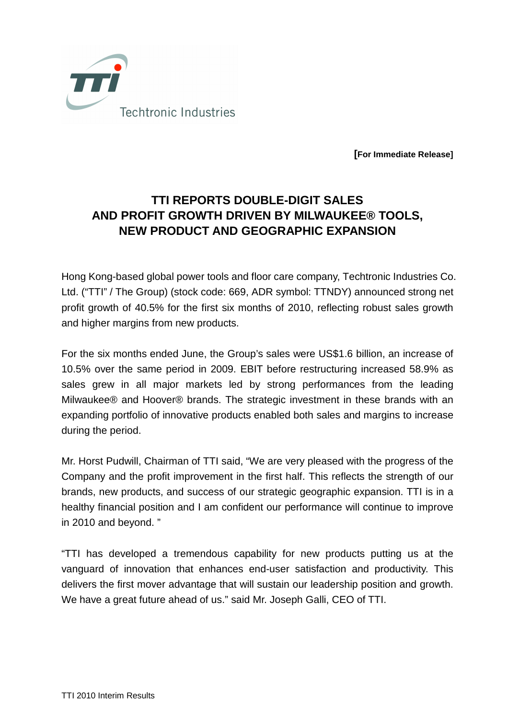

**[For Immediate Release]**

## **TTI REPORTS DOUBLE-DIGIT SALES AND PROFIT GROWTH DRIVEN BY MILWAUKEE® TOOLS, NEW PRODUCT AND GEOGRAPHIC EXPANSION**

Hong Kong-based global power tools and floor care company, Techtronic Industries Co. Ltd. ("TTI" / The Group) (stock code: 669, ADR symbol: TTNDY) announced strong net profit growth of 40.5% for the first six months of 2010, reflecting robust sales growth and higher margins from new products.

For the six months ended June, the Group's sales were US\$1.6 billion, an increase of 10.5% over the same period in 2009. EBIT before restructuring increased 58.9% as sales grew in all major markets led by strong performances from the leading Milwaukee® and Hoover® brands. The strategic investment in these brands with an expanding portfolio of innovative products enabled both sales and margins to increase during the period.

Mr. Horst Pudwill, Chairman of TTI said, "We are very pleased with the progress of the Company and the profit improvement in the first half. This reflects the strength of our brands, new products, and success of our strategic geographic expansion. TTI is in a healthy financial position and I am confident our performance will continue to improve in 2010 and beyond. "

"TTI has developed a tremendous capability for new products putting us at the vanguard of innovation that enhances end-user satisfaction and productivity. This delivers the first mover advantage that will sustain our leadership position and growth. We have a great future ahead of us." said Mr. Joseph Galli, CEO of TTI.